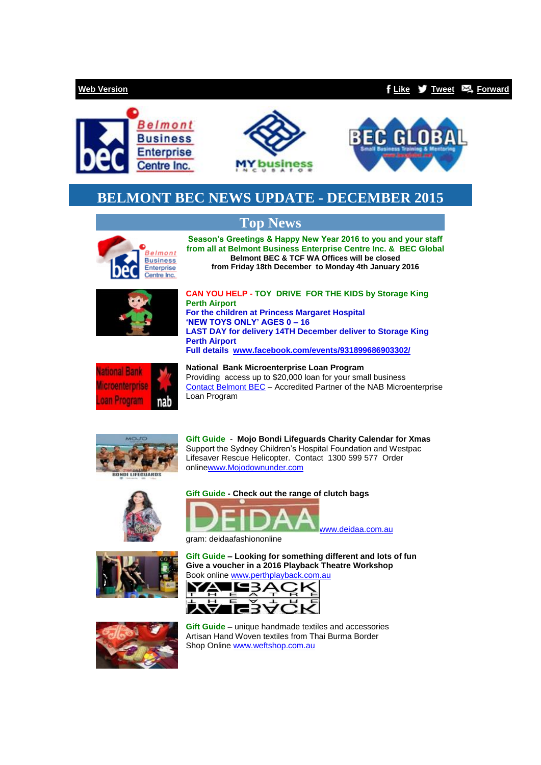## **[Web Version](http://bbec.bridgewaymailer.com/t/j-e-hdhrqd-l-y/) [Like](http://bbec.bridgewaymailer.com/t/j-fb-hdhrqd-l-t/) [Tweet](http://bbec.bridgewaymailer.com/t/j-tw-hdhrqd-l-d/) [Forward](http://belmontbec.forwardtomyfriend.com/j-l-2AD73FFF-hdhrqd-l-k)**







# **BELMONT BEC NEWS UPDATE - DECEMBER 2015**

# **Top News**



**Season's Greetings & Happy New Year 2016 to you and your staff from all at Belmont Business Enterprise Centre Inc. & BEC Global Belmont BEC & TCF WA Offices will be closed from Friday 18th December to Monday 4th January 2016**



**CAN YOU HELP - TOY DRIVE FOR THE KIDS by Storage King Perth Airport For the children at Princess Margaret Hospital 'NEW TOYS ONLY' AGES 0 – 16 LAST DAY for delivery 14TH December deliver to Storage King Perth Airport Full details [www.facebook.com/events/931899686903302/](http://www.facebook.com/events/931899686903302/)**



**National Bank Microenterprise Loan Program** Providing access up to \$20,000 loan for your small business [Contact Belmont BEC](mailto:support@belmontbec.com?subject=Re%3A%20National%20%20Bank%20Microenterprise%20Loan%20Program) – Accredited Partner of the NAB Microenterprise Loan Program



**Gift Guide** - **Mojo Bondi Lifeguards Charity Calendar for Xmas** Support the Sydney Children's Hospital Foundation and Westpac Lifesaver Rescue Helicopter. Contact 1300 599 577 Order onlin[ewww.Mojodownunder.com](http://www.mojodownunder.com/)









[www.deidaa.com.au](http://www.deidaa.com.au/) 

gram: deidaafashiononline

**Gift Guide – Looking for something different and lots of fun Give a voucher in a 2016 Playback Theatre Workshop** Book online [www.perthplayback.com.au](http://www.perthplayback.com.au/)





**Gift Guide –** unique handmade textiles and accessories Artisan Hand Woven textiles from Thai Burma Border Shop Online [www.weftshop.com.au](http://www.weftshop.com.au/)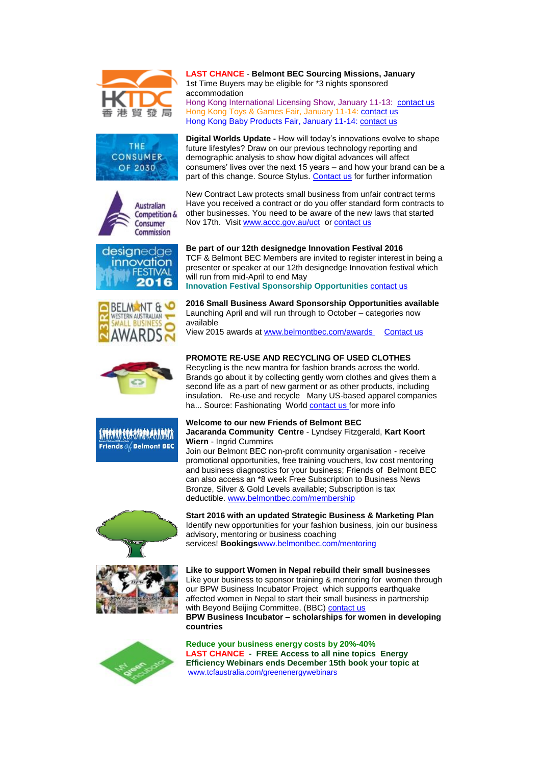

















**LAST CHANCE** - **Belmont BEC Sourcing Missions, January** 1st Time Buyers may be eligible for \*3 nights sponsored accommodation Hong Kong International Licensing Show, January 11-13: [contact us](mailto:events@tcfaustralia.com?subject=Re%3A%20Hong%20Kong%20International%20Licensing%20Show) Hong Kong Toys & Games Fair, January 11-14: [contact us](mailto:events@tcfaustralia.com?subject=Re%3AHong%20Kong%20Toys%20%26%20Games%20Fair%2C%20January%2011-14) Hong Kong Baby Products Fair, January 11-14: [contact us](mailto:events@tcfaustralia.com?subject=Re%3A%20Hong%20Kong%20Baby%20Products%20Fair%2C%20January%2011-14)

**Digital Worlds Update -** How will today's innovations evolve to shape future lifestyles? Draw on our previous technology reporting and demographic analysis to show how digital advances will affect consumers' lives over the next 15 years – and how your brand can be a part of this change. Source Stylus. [Contact us](mailto:training@belmontbec.com?subject=Re%3A%20Digital%20Worlds%20Updates) for further information

New Contract Law protects small business from unfair contract terms Have you received a contract or do you offer standard form contracts to other businesses. You need to be aware of the new laws that started Nov 17th. Visit [www.accc.gov.au/uct](http://www.accc.gov.au/uct) or [contact us](mailto:support@belmontbec.com?subject=Re%3A%20New%20Contract%20Law%20protects%20small%20business%20from%20unfair%20contract%20terms)

### **Be part of our 12th designedge Innovation Festival 2016**

TCF & Belmont BEC Members are invited to register interest in being a presenter or speaker at our 12th designedge Innovation festival which will run from mid-April to end May **Innovation Festival Sponsorship Opportunities** [contact us](mailto:support@belmontbec.com?subject=Re%3A%20Be%20part%20of%20our%2012th%20designedge%20Innovation%20Festival%202016)

**2016 Small Business Award Sponsorship Opportunities available** Launching April and will run through to October – categories now available

View 2015 awards at [www.belmontbec.com/awards](http://www.belmontbec.com/awards) [Contact us](mailto:awards@belmontbec.com?subject=Re%3A%202016%20Small%20Business%20Award%20Sponsorship%20Opportunities%20available)

### **PROMOTE RE-USE AND RECYCLING OF USED CLOTHES**

Recycling is the new mantra for fashion brands across the world. Brands go about it by collecting gently worn clothes and gives them a second life as a part of new garment or as other products, including insulation. Re-use and recycle Many US-based apparel companies ha... Source: Fashionating World [contact us](mailto:support@belmontbec.com?subject=Re%3A%20PROMOTE%20RE-USE%20AND%20RECYCLING%20OF%20USED%20CLOTHES) for more info

#### **Welcome to our new Friends of Belmont BEC Jacaranda Community Centre** - Lyndsey Fitzgerald, **Kart Koort**

**Wiern** - Ingrid Cummins Join our Belmont BEC non-profit community organisation - receive promotional opportunities, free training vouchers, low cost mentoring and business diagnostics for your business; Friends of Belmont BEC can also access an \*8 week Free Subscription to Business News Bronze, Silver & Gold Levels available; Subscription is tax deductible. [www.belmontbec.com/membership](http://www.belmontbec.com/membership)

**Start 2016 with an updated Strategic Business & Marketing Plan** Identify new opportunities for your fashion business, join our business advisory, mentoring or business coaching services! **Bookings**[www.belmontbec.com/mentoring](http://www.belmontbec.com/mentoring)





**countries**

**Reduce your business energy costs by 20%-40% LAST CHANCE - FREE Access to all nine topics Energy Efficiency Webinars ends December 15th book your topic at** [www.tcfaustralia.com/greenenergywebinars](http://www.tcfaustralia.com/greenenergywebinars)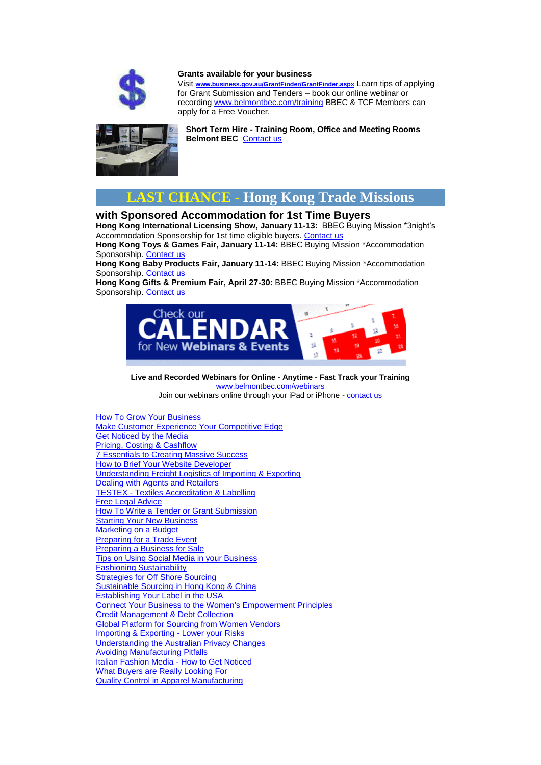

#### **Grants available for your business**

Visit **[www.business.gov.au/GrantFinder/GrantFinder.aspx](http://www.business.gov.au/GrantFinder/GrantFinder.aspx)** Learn tips of applying for Grant Submission and Tenders – book our online webinar or recording [www.belmontbec.com/training](http://www.belmontbec.com/training) BBEC & TCF Members can apply for a Free Voucher.



**Short Term Hire - Training Room, Office and Meeting Rooms Belmont BEC** [Contact us](mailto:info@belmontbec.com?subject=Re%3A%20Training%20room%20available)



## **with Sponsored Accommodation for 1st Time Buyers**

**Hong Kong International Licensing Show, January 11-13:** BBEC Buying Mission \*3night's Accommodation Sponsorship for 1st time eligible buyers. [Contact us](mailto:events@belmontbec.com?subject=BBEC%20Buying%20Mission%20*Accommodation%20Sponsorship%20Licensing%20Show)

**Hong Kong Toys & Games Fair, January 11-14:** BBEC Buying Mission \*Accommodation Sponsorship. [Contact us](mailto:events@belmontbec.com?subject=BBEC%20Buying%20Mission%20*Accommodation%20Sponsorship%20Toys%20%26%20Games)

**Hong Kong Baby Products Fair, January 11-14:** BBEC Buying Mission \*Accommodation Sponsorship. [Contact us](mailto:events@belmontbec.com?subject=BBEC%20Buying%20Mission%20*Accommodation%20Sponsorship%20Baby%20Products)

**Hong Kong Gifts & Premium Fair, April 27-30:** BBEC Buying Mission \*Accommodation Sponsorship. [Contact us](mailto:events@belmontbec.com?subject=BBEC%20Buying%20Mission%20*Accommodation%20Sponsorship%20Gifts%20%26%20Premium)



**Live and Recorded Webinars for Online - Anytime - Fast Track your Training** www.belmontbec.com/webina

Join our webinars online through your iPad or iPhone - [contact us](mailto:training@belmontbec.com?subject=Question%20-%20how%20to%20access%20the%20webinar%20on%20iPad%20or%20iPhone)

[How To Grow Your Business](http://belmontbec.com/event.php?id_event=860) [Make Customer Experience Your Competitive Edge](http://belmontbec.com/event.php?id_event=861) [Get Noticed by the Media](http://belmontbec.com/event.php?id_event=862) [Pricing, Costing & Cashflow](http://belmontbec.com/event.php?id_event=863) [7 Essentials to Creating Massive Success](http://belmontbec.com/event.php?id_event=864) [How to Brief Your Website Developer](http://belmontbec.com/event.php?id_event=865) [Understanding Freight Logistics of Importing & Exporting](http://belmontbec.com/event.php?id_event=866) [Dealing with Agents and Retailers](http://belmontbec.com/event.php?id_event=867) TESTEX - [Textiles Accreditation & Labelling](http://belmontbec.com/event.php?id_event=868) [Free Legal Advice](http://belmontbec.com/event.php?id_event=797) [How To Write a Tender or Grant Submission](http://belmontbec.com/event.php?id_event=869) [Starting Your New Business](http://belmontbec.com/event.php?id_event=870) [Marketing on a Budget](http://belmontbec.com/event.php?id_event=871) [Preparing for a Trade Event](http://belmontbec.com/event.php?id_event=872) [Preparing a Business for Sale](http://belmontbec.com/event.php?id_event=873) [Tips on Using Social Media in your Business](http://belmontbec.com/event.php?id_event=874) [Fashioning Sustainability](http://belmontbec.com/event.php?id_event=806) [Strategies for Off Shore Sourcing](http://belmontbec.com/event.php?id_event=875) [Sustainable Sourcing in Hong Kong & China](http://belmontbec.com/event.php?id_event=876) [Establishing Your Label in the USA](http://belmontbec.com/event.php?id_event=809) [Connect Your Business to the Women's Empowerment Principles](http://belmontbec.com/event.php?id_event=877) [Credit Management & Debt Collection](http://belmontbec.com/event.php?id_event=878) [Global Platform for Sourcing from Women Vendors](http://belmontbec.com/event.php?id_event=880) [Importing & Exporting -](http://belmontbec.com/event.php?id_event=879) Lower your Risks [Understanding the Australian Privacy Changes](http://belmontbec.com/event.php?id_event=881) [Avoiding Manufacturing Pitfalls](http://belmontbec.com/event.php?id_event=882) [Italian Fashion Media -](http://belmontbec.com/event.php?id_event=883) How to Get Noticed [What Buyers are Really Looking For](http://belmontbec.com/event.php?id_event=884) [Quality Control in Apparel Manufacturing](http://belmontbec.com/event.php?id_event=820)